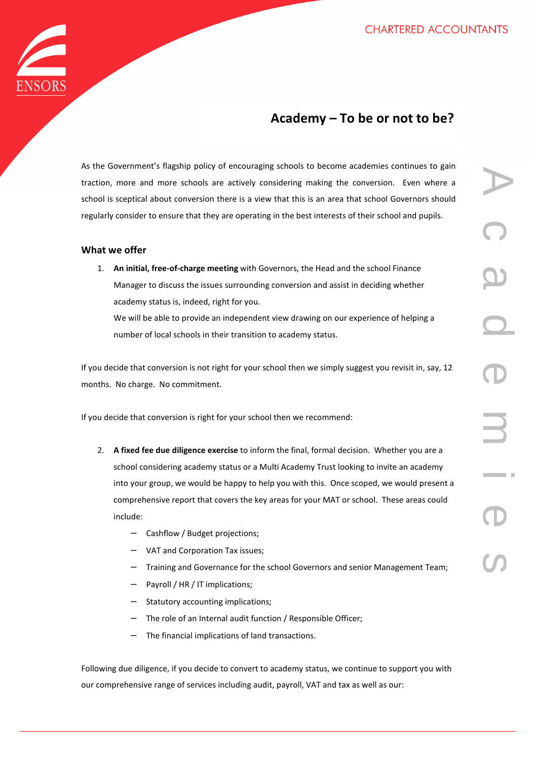

## **Academy – To be or not to be?**

As the Government's flagship policy of encouraging schools to become academies continues to gain traction, more and more schools are actively considering making the conversion. Even where a school is sceptical about conversion there is a view that this is an area that school Governors should regularly consider to ensure that they are operating in the best interests of their school and pupils.

## **What we offer**

1. **An initial, free-of-charge meeting** with Governors, the Head and the school Finance Manager to discuss the issues surrounding conversion and assist in deciding whether academy status is, indeed, right for you. We will be able to provide an independent view drawing on our experience of helping a number of local schools in their transition to academy status.

If you decide that conversion is not right for your school then we simply suggest you revisit in, say, 12 months. No charge. No commitment.

If you decide that conversion is right for your school then we recommend:

- 2. **A fixed fee due diligence exercise** to inform the final, formal decision. Whether you are a school considering academy status or a Multi Academy Trust looking to invite an academy into your group, we would be happy to help you with this. Once scoped, we would present a comprehensive report that covers the key areas for your MAT or school. These areas could include:
	- − Cashflow / Budget projections;
	- − VAT and Corporation Tax issues;
	- − Training and Governance for the school Governors and senior Management Team;
	- Payroll / HR / IT implications;
	- Statutory accounting implications;
	- − The role of an Internal audit function / Responsible Officer;
	- The financial implications of land transactions.

Following due diligence, if you decide to convert to academy status, we continue to support you with our comprehensive range of services including audit, payroll, VAT and tax as well as our: